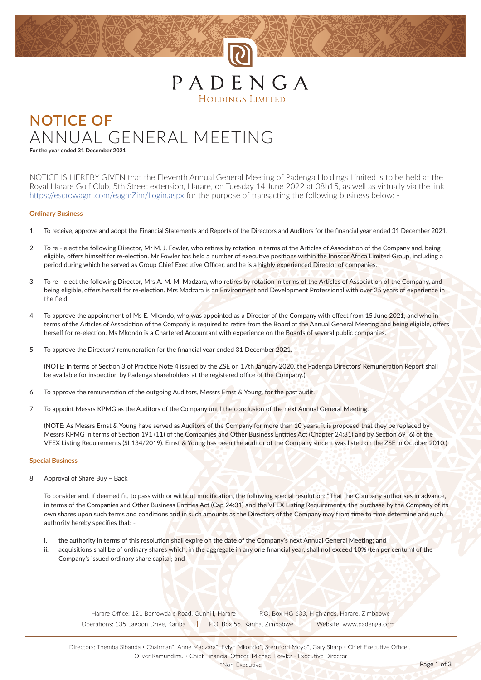## PADENGA **HOLDINGS LIMITED**

## **NOTICE OF** ANNUAL GENERAL MEETING

**For the year ended 31 December 2021**

NOTICE IS HEREBY GIVEN that the Eleventh Annual General Meeting of Padenga Holdings Limited is to be held at the Royal Harare Golf Club, 5th Street extension, Harare, on Tuesday 14 June 2022 at 08h15, as well as virtually via the link https://escrowagm.com/eagmZim/Login.aspx for the purpose of transacting the following business below: -

#### **Ordinary Business**

- 1. To receive, approve and adopt the Financial Statements and Reports of the Directors and Auditors for the financial year ended 31 December 2021.
- 2. To re elect the following Director, Mr M. J. Fowler, who retires by rotation in terms of the Articles of Association of the Company and, being eligible, offers himself for re-election. Mr Fowler has held a number of executive positions within the Innscor Africa Limited Group, including a period during which he served as Group Chief Executive Officer, and he is a highly experienced Director of companies.
- 3. To re elect the following Director, Mrs A. M. M. Madzara, who retires by rotation in terms of the Articles of Association of the Company, and being eligible, offers herself for re-election. Mrs Madzara is an Environment and Development Professional with over 25 years of experience in the field.
- 4. To approve the appointment of Ms E. Mkondo, who was appointed as a Director of the Company with effect from 15 June 2021, and who in terms of the Articles of Association of the Company is required to retire from the Board at the Annual General Meeting and being eligible, offers herself for re-election. Ms Mkondo is a Chartered Accountant with experience on the Boards of several public companies.
- 5. To approve the Directors' remuneration for the financial year ended 31 December 2021.

(NOTE: In terms of Section 3 of Practice Note 4 issued by the ZSE on 17th January 2020, the Padenga Directors' Remuneration Report shall be available for inspection by Padenga shareholders at the registered office of the Company.)

- 6. To approve the remuneration of the outgoing Auditors, Messrs Ernst & Young, for the past audit.
- 7. To appoint Messrs KPMG as the Auditors of the Company until the conclusion of the next Annual General Meeting.

(NOTE: As Messrs Ernst & Young have served as Auditors of the Company for more than 10 years, it is proposed that they be replaced by Messrs KPMG in terms of Section 191 (11) of the Companies and Other Business Entities Act (Chapter 24:31) and by Section 69 (6) of the VFEX Listing Requirements (SI 134/2019). Ernst & Young has been the auditor of the Company since it was listed on the ZSE in October 2010.)

#### **Special Business**

8. Approval of Share Buy – Back

To consider and, if deemed fit, to pass with or without modification, the following special resolution: "That the Company authorises in advance, in terms of the Companies and Other Business Entities Act (Cap 24:31) and the VFEX Listing Requirements, the purchase by the Company of its own shares upon such terms and conditions and in such amounts as the Directors of the Company may from time to time determine and such authority hereby specifies that: -

- i. the authority in terms of this resolution shall expire on the date of the Company's next Annual General Meeting; and
- ii. acquisitions shall be of ordinary shares which, in the aggregate in any one financial year, shall not exceed 10% (ten per centum) of the Company's issued ordinary share capital; and

Harare Office: 121 Borrowdale Road, Gunhill, Harare | P.O. Box HG 633, Highlands, Harare, Zimbabwe Operations: 135 Lagoon Drive, Kariba P.O. Box 55, Kariba, Zimbabwe | Website: www.padenga.com

Directors: Themba Sibanda · Chairman\*, Anne Madzara\*, Evlyn Mkondo\*, Sternford Moyo\*, Gary Sharp · Chief Executive Officer, Oliver Kamundimu · Chief Financial Officer, Michael Fowler · Executive Director

\*Non-Executive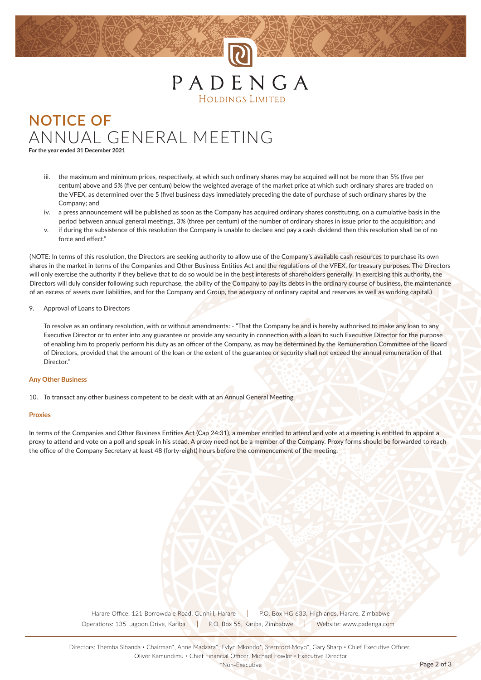## PADENGA HOLDINGS LIMITED

## **NOTICE OF** ANNUAL GENERAL MEETING

**For the year ended 31 December 2021**

- the maximum and minimum prices, respectively, at which such ordinary shares may be acquired will not be more than 5% (five per centum) above and 5% (five per centum) below the weighted average of the market price at which such ordinary shares are traded on the VFEX, as determined over the 5 (five) business days immediately preceding the date of purchase of such ordinary shares by the Company; and
- iv. a press announcement will be published as soon as the Company has acquired ordinary shares constituting, on a cumulative basis in the period between annual general meetings, 3% (three per centum) of the number of ordinary shares in issue prior to the acquisition; and
- if during the subsistence of this resolution the Company is unable to declare and pay a cash dividend then this resolution shall be of no force and effect"

(NOTE: In terms of this resolution, the Directors are seeking authority to allow use of the Company's available cash resources to purchase its own shares in the market in terms of the Companies and Other Business Entities Act and the regulations of the VFEX, for treasury purposes. The Directors will only exercise the authority if they believe that to do so would be in the best interests of shareholders generally. In exercising this authority, the Directors will duly consider following such repurchase, the ability of the Company to pay its debts in the ordinary course of business, the maintenance of an excess of assets over liabilities, and for the Company and Group, the adequacy of ordinary capital and reserves as well as working capital.)

### 9. Approval of Loans to Directors

To resolve as an ordinary resolution, with or without amendments: - "That the Company be and is hereby authorised to make any loan to any Executive Director or to enter into any guarantee or provide any security in connection with a loan to such Executive Director for the purpose of enabling him to properly perform his duty as an officer of the Company, as may be determined by the Remuneration Committee of the Board of Directors, provided that the amount of the loan or the extent of the guarantee or security shall not exceed the annual remuneration of that Director<sup>"</sup>

#### **Any Other Business**

10. To transact any other business competent to be dealt with at an Annual General Meeting

#### **Proxies**

In terms of the Companies and Other Business Entities Act (Cap 24:31), a member entitled to attend and vote at a meeting is entitled to appoint a proxy to attend and vote on a poll and speak in his stead. A proxy need not be a member of the Company. Proxy forms should be forwarded to reach the office of the Company Secretary at least 48 (forty-eight) hours before the commencement of the meeting.

> Harare Office: 121 Borrowdale Road, Gunhill, Harare | P.O. Box HG 633, Highlands, Harare, Zimbabwe Operations: 135 Lagoon Drive, Kariba P.O. Box 55, Kariba, Zimbabwe | Website: www.padenga.com

Directors: Themba Sibanda · Chairman\*, Anne Madzara\*, Evlyn Mkondo\*, Sternford Moyo\*, Gary Sharp · Chief Executive Officer, Oliver Kamundimu · Chief Financial Officer, Michael Fowler · Executive Director

\*Non-Executive